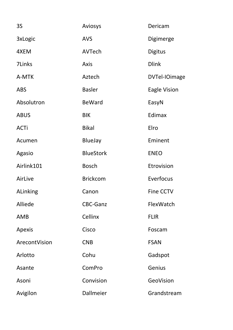| <b>3S</b>       | Aviosys          | Dericam             |
|-----------------|------------------|---------------------|
| 3xLogic         | <b>AVS</b>       | Digimerge           |
| 4XEM            | AVTech           | <b>Digitus</b>      |
| 7Links          | <b>Axis</b>      | <b>Dlink</b>        |
| A-MTK           | Aztech           | DVTel-IOimage       |
| <b>ABS</b>      | <b>Basler</b>    | <b>Eagle Vision</b> |
| Absolutron      | <b>BeWard</b>    | EasyN               |
| <b>ABUS</b>     | <b>BIK</b>       | Edimax              |
| <b>ACTi</b>     | <b>Bikal</b>     | Elro                |
| Acumen          | <b>BlueJay</b>   | Eminent             |
| Agasio          | <b>BlueStork</b> | <b>ENEO</b>         |
| Airlink101      | <b>Bosch</b>     | Etrovision          |
| AirLive         | <b>Brickcom</b>  | Everfocus           |
| <b>ALinking</b> | Canon            | <b>Fine CCTV</b>    |
| Alliede         | <b>CBC-Ganz</b>  | FlexWatch           |
| <b>AMB</b>      | <b>Cellinx</b>   | <b>FLIR</b>         |
| Apexis          | Cisco            | Foscam              |
| ArecontVision   | <b>CNB</b>       | <b>FSAN</b>         |
| Arlotto         | Cohu             | Gadspot             |
| Asante          | ComPro           | Genius              |
| Asoni           | Convision        | GeoVision           |
| Avigilon        | <b>Dallmeier</b> | Grandstream         |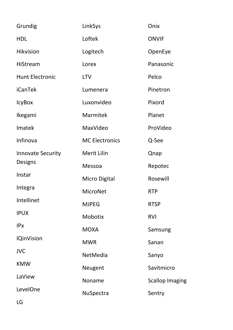| Grundig                                    | LinkSys               | Onix                   |
|--------------------------------------------|-----------------------|------------------------|
| <b>HDL</b>                                 | Loftek                | <b>ONVIF</b>           |
| <b>Hikvision</b>                           | Logitech              | OpenEye                |
| <b>HiStream</b>                            | Lorex                 | Panasonic              |
| <b>Hunt Electronic</b>                     | <b>LTV</b>            | Pelco                  |
| <b>iCanTek</b>                             | Lumenera              | Pinetron               |
| <b>IcyBox</b>                              | Luxonvideo            | Pixord                 |
| Ikegami                                    | <b>Marmitek</b>       | Planet                 |
| Imatek                                     | MaxVideo              | ProVideo               |
| Infinova                                   | <b>MC Electronics</b> | Q-See                  |
| <b>Innovate Security</b><br><b>Designs</b> | <b>Merit Lilin</b>    | Qnap                   |
|                                            | Messoa                | Repotec                |
| Instar                                     | <b>Micro Digital</b>  | Rosewill               |
| Integra                                    | MicroNet              | <b>RTP</b>             |
| Intellinet                                 | <b>MJPEG</b>          | <b>RTSP</b>            |
| <b>IPUX</b>                                | <b>Mobotix</b>        | <b>RVI</b>             |
| <b>IPx</b>                                 | <b>MOXA</b>           | Samsung                |
| <b>IQinVision</b>                          | <b>MWR</b>            | Sanan                  |
| <b>JVC</b>                                 | NetMedia              | Sanyo                  |
| <b>KMW</b>                                 | Neugent               | Savitmicro             |
| LaView                                     | Noname                | <b>Scallop Imaging</b> |
| LevelOne                                   | <b>NuSpectra</b>      | Sentry                 |
| LG                                         |                       |                        |